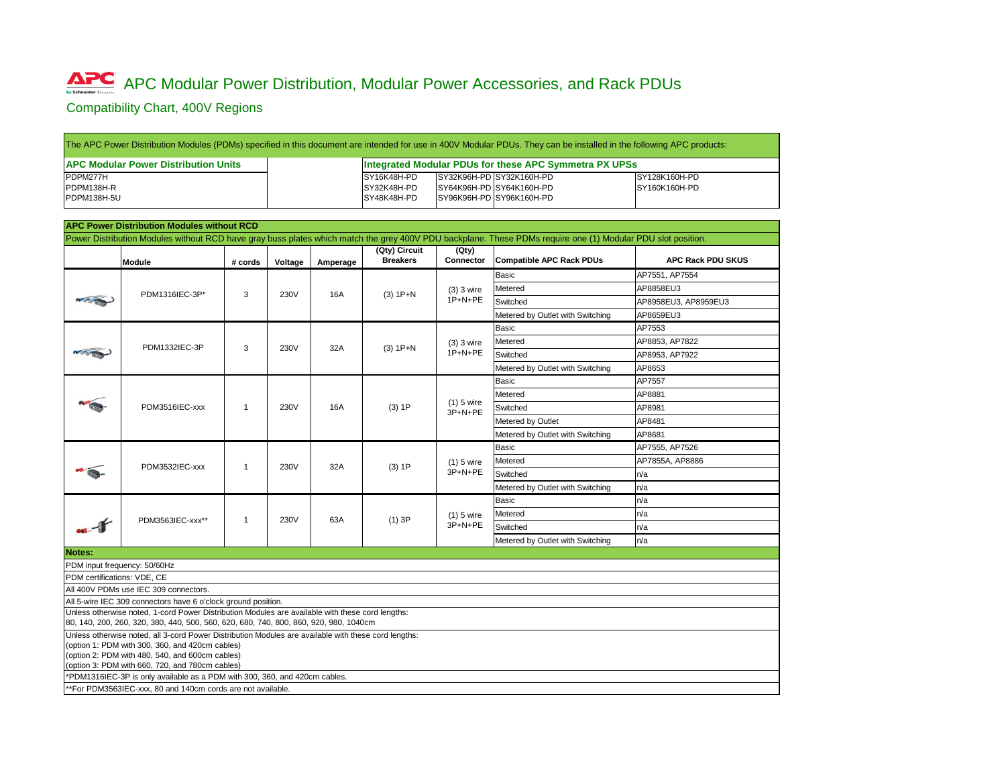## **APC Modular Power Distribution, Modular Power Accessories, and Rack PDUs**

Compatibility Chart, 400V Regions

| The APC Power Distribution Modules (PDMs) specified in this document are intended for use in 400V Modular PDUs. They can be installed in the following APC production- |             |                                                               |                      |  |  |  |  |  |
|------------------------------------------------------------------------------------------------------------------------------------------------------------------------|-------------|---------------------------------------------------------------|----------------------|--|--|--|--|--|
| <b>APC Modular Power Distribution Units</b>                                                                                                                            |             | <b>Integrated Modular PDUs for these APC Symmetra PX UPSs</b> |                      |  |  |  |  |  |
| PDPM277H                                                                                                                                                               | SY16K48H-PD | SY32K96H-PD SY32K160H-PD                                      | SY128K160H-PD        |  |  |  |  |  |
| PDPM138H-R                                                                                                                                                             | SY32K48H-PD | SY64K96H-PD SY64K160H-PD                                      | <b>SY160K160H-PD</b> |  |  |  |  |  |
| PDPM138H-5U                                                                                                                                                            | SY48K48H-PD | SY96K96H-PD SY96K160H-PD                                      |                      |  |  |  |  |  |

|                                                                                                                                                                                                                                                               |                                                   |         |         |                                           |                                                        |                                                                                  | The APC Power Distribution Modules (PDMs) specified in this document are intended for use in 400V Modular PDUs. They can be installed in the following APC products: |                          |  |  |
|---------------------------------------------------------------------------------------------------------------------------------------------------------------------------------------------------------------------------------------------------------------|---------------------------------------------------|---------|---------|-------------------------------------------|--------------------------------------------------------|----------------------------------------------------------------------------------|----------------------------------------------------------------------------------------------------------------------------------------------------------------------|--------------------------|--|--|
| <b>APC Modular Power Distribution Units</b>                                                                                                                                                                                                                   |                                                   |         |         |                                           | Integrated Modular PDUs for these APC Symmetra PX UPSs |                                                                                  |                                                                                                                                                                      |                          |  |  |
| PDPM277H<br>PDPM138H-R<br>PDPM138H-5U                                                                                                                                                                                                                         |                                                   |         |         | SY16K48H-PD<br>SY32K48H-PD<br>SY48K48H-PD |                                                        | SY32K96H-PD SY32K160H-PD<br>SY64K96H-PD SY64K160H-PD<br>SY96K96H-PD SY96K160H-PD | SY128K160H-PD<br>SY160K160H-PD                                                                                                                                       |                          |  |  |
|                                                                                                                                                                                                                                                               | <b>APC Power Distribution Modules without RCD</b> |         |         |                                           |                                                        |                                                                                  |                                                                                                                                                                      |                          |  |  |
|                                                                                                                                                                                                                                                               |                                                   |         |         |                                           |                                                        |                                                                                  | Power Distribution Modules without RCD have gray buss plates which match the grey 400V PDU backplane. These PDMs require one (1) Modular PDU slot position.          |                          |  |  |
|                                                                                                                                                                                                                                                               | <b>Module</b>                                     | # cords | Voltage | Amperage                                  | (Qty) Circuit<br><b>Breakers</b>                       | (Qty)<br><b>Connector</b>                                                        | <b>Compatible APC Rack PDUs</b>                                                                                                                                      | <b>APC Rack PDU SKUS</b> |  |  |
|                                                                                                                                                                                                                                                               |                                                   | 3       | 230V    | 16A                                       | $(3) 1P + N$                                           | $(3)$ 3 wire<br>1P+N+PE                                                          | <b>Basic</b>                                                                                                                                                         | AP7551, AP7554           |  |  |
|                                                                                                                                                                                                                                                               | PDM1316IEC-3P*                                    |         |         |                                           |                                                        |                                                                                  | Metered                                                                                                                                                              | AP8858EU3                |  |  |
|                                                                                                                                                                                                                                                               |                                                   |         |         |                                           |                                                        |                                                                                  | Switched                                                                                                                                                             | AP8958EU3, AP8959EU3     |  |  |
|                                                                                                                                                                                                                                                               |                                                   |         |         |                                           |                                                        |                                                                                  | Metered by Outlet with Switching                                                                                                                                     | AP8659EU3                |  |  |
|                                                                                                                                                                                                                                                               |                                                   |         |         |                                           |                                                        |                                                                                  | <b>Basic</b>                                                                                                                                                         | AP7553                   |  |  |
|                                                                                                                                                                                                                                                               | PDM1332IEC-3P                                     |         |         |                                           |                                                        | $(3)$ 3 wire                                                                     | Metered                                                                                                                                                              | AP8853, AP7822           |  |  |
|                                                                                                                                                                                                                                                               |                                                   | 3       | 230V    | 32A                                       | $(3) 1P+N$                                             | 1P+N+PE                                                                          | Switched                                                                                                                                                             | AP8953, AP7922           |  |  |
|                                                                                                                                                                                                                                                               |                                                   |         |         |                                           |                                                        |                                                                                  | Metered by Outlet with Switching                                                                                                                                     | AP8653                   |  |  |
|                                                                                                                                                                                                                                                               |                                                   |         |         |                                           | $(3)$ 1P                                               |                                                                                  | <b>Basic</b>                                                                                                                                                         | AP7557                   |  |  |
|                                                                                                                                                                                                                                                               |                                                   |         |         |                                           |                                                        |                                                                                  | Metered                                                                                                                                                              | AP8881                   |  |  |
|                                                                                                                                                                                                                                                               | PDM3516IEC-xxx                                    | 1       | 230V    | 16A                                       |                                                        | $(1)$ 5 wire<br>3P+N+PE                                                          | Switched                                                                                                                                                             | AP8981                   |  |  |
|                                                                                                                                                                                                                                                               |                                                   |         |         |                                           |                                                        |                                                                                  | Metered by Outlet                                                                                                                                                    | AP8481                   |  |  |
|                                                                                                                                                                                                                                                               |                                                   |         |         |                                           |                                                        |                                                                                  | Metered by Outlet with Switching                                                                                                                                     | AP8681                   |  |  |
|                                                                                                                                                                                                                                                               | PDM3532IEC-xxx                                    | 1       | 230V    | 32A                                       | $(3)$ 1P                                               |                                                                                  | <b>Basic</b>                                                                                                                                                         | AP7555, AP7526           |  |  |
|                                                                                                                                                                                                                                                               |                                                   |         |         |                                           |                                                        | $(1)$ 5 wire<br>3P+N+PE                                                          | Metered                                                                                                                                                              | AP7855A, AP8886          |  |  |
|                                                                                                                                                                                                                                                               |                                                   |         |         |                                           |                                                        |                                                                                  | Switched                                                                                                                                                             | n/a                      |  |  |
|                                                                                                                                                                                                                                                               |                                                   |         |         |                                           |                                                        |                                                                                  | Metered by Outlet with Switching                                                                                                                                     | n/a                      |  |  |
|                                                                                                                                                                                                                                                               |                                                   |         | 230V    | 63A                                       | $(1)$ 3P                                               |                                                                                  | <b>Basic</b>                                                                                                                                                         | n/a                      |  |  |
|                                                                                                                                                                                                                                                               | PDM3563IEC-xxx**                                  |         |         |                                           |                                                        | $(1)$ 5 wire<br>3P+N+PE                                                          | Metered                                                                                                                                                              | n/a                      |  |  |
|                                                                                                                                                                                                                                                               |                                                   |         |         |                                           |                                                        |                                                                                  | Switched                                                                                                                                                             | n/a                      |  |  |
|                                                                                                                                                                                                                                                               |                                                   |         |         |                                           |                                                        |                                                                                  | Metered by Outlet with Switching                                                                                                                                     | n/a                      |  |  |
| <b>Notes:</b>                                                                                                                                                                                                                                                 |                                                   |         |         |                                           |                                                        |                                                                                  |                                                                                                                                                                      |                          |  |  |
| PDM input frequency: 50/60Hz                                                                                                                                                                                                                                  |                                                   |         |         |                                           |                                                        |                                                                                  |                                                                                                                                                                      |                          |  |  |
| PDM certifications: VDE, CE                                                                                                                                                                                                                                   |                                                   |         |         |                                           |                                                        |                                                                                  |                                                                                                                                                                      |                          |  |  |
| All 400V PDMs use IEC 309 connectors.                                                                                                                                                                                                                         |                                                   |         |         |                                           |                                                        |                                                                                  |                                                                                                                                                                      |                          |  |  |
| All 5-wire IEC 309 connectors have 6 o'clock ground position.                                                                                                                                                                                                 |                                                   |         |         |                                           |                                                        |                                                                                  |                                                                                                                                                                      |                          |  |  |
| Unless otherwise noted, 1-cord Power Distribution Modules are available with these cord lengths:<br>80, 140, 200, 260, 320, 380, 440, 500, 560, 620, 680, 740, 800, 860, 920, 980, 1040cm                                                                     |                                                   |         |         |                                           |                                                        |                                                                                  |                                                                                                                                                                      |                          |  |  |
| Unless otherwise noted, all 3-cord Power Distribution Modules are available with these cord lengths:<br>(option 1: PDM with 300, 360, and 420cm cables)<br>(option 2: PDM with 480, 540, and 600cm cables)<br>(option 3: PDM with 660, 720, and 780cm cables) |                                                   |         |         |                                           |                                                        |                                                                                  |                                                                                                                                                                      |                          |  |  |
| *PDM1316IEC-3P is only available as a PDM with 300, 360, and 420cm cables.                                                                                                                                                                                    |                                                   |         |         |                                           |                                                        |                                                                                  |                                                                                                                                                                      |                          |  |  |
| **For PDM3563IEC-xxx, 80 and 140cm cords are not available.                                                                                                                                                                                                   |                                                   |         |         |                                           |                                                        |                                                                                  |                                                                                                                                                                      |                          |  |  |